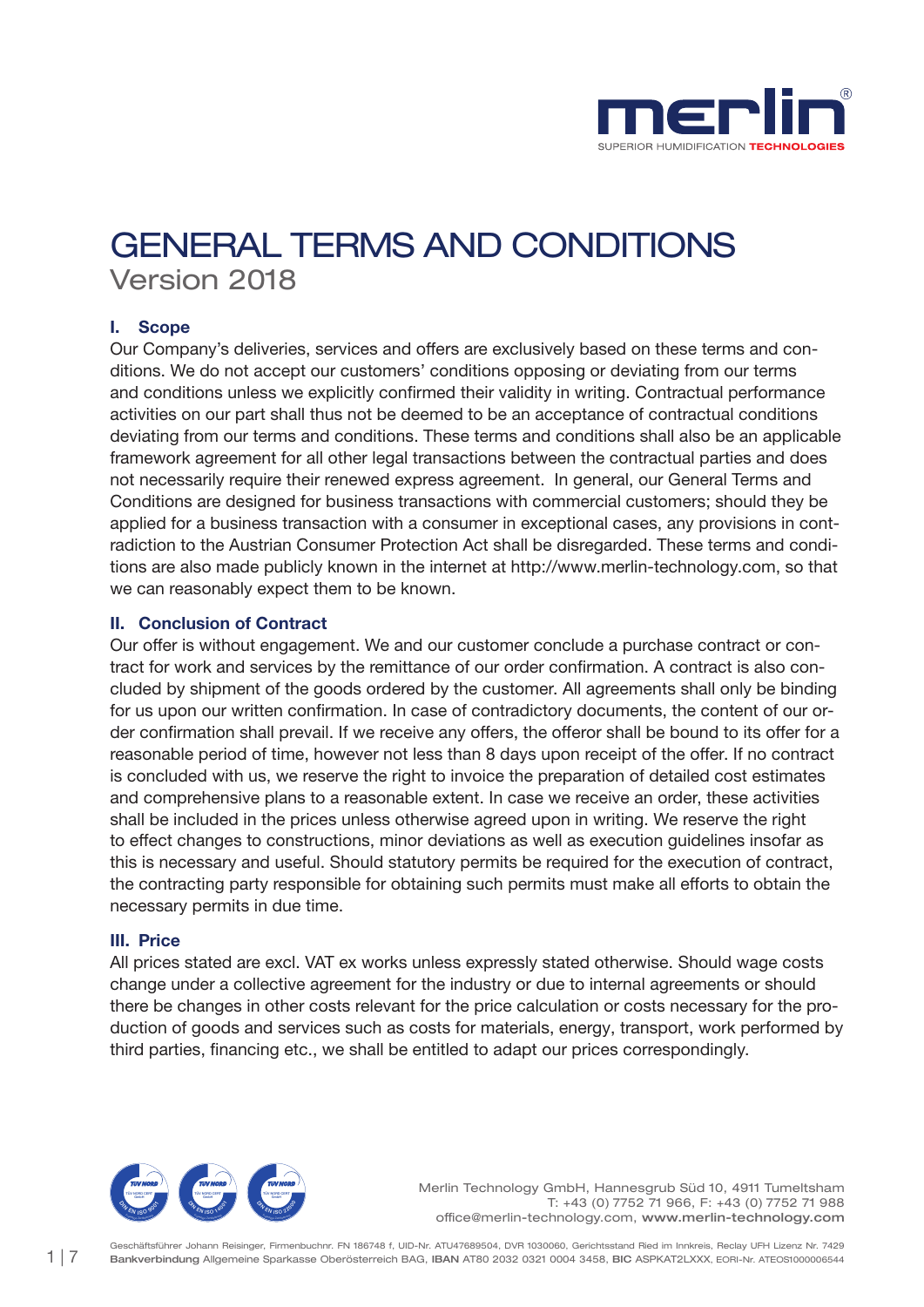

# GENERAL TERMS AND CONDITIONS Version 2018

# I. Scope

Our Company's deliveries, services and offers are exclusively based on these terms and conditions. We do not accept our customers' conditions opposing or deviating from our terms and conditions unless we explicitly confirmed their validity in writing. Contractual performance activities on our part shall thus not be deemed to be an acceptance of contractual conditions deviating from our terms and conditions. These terms and conditions shall also be an applicable framework agreement for all other legal transactions between the contractual parties and does not necessarily require their renewed express agreement. In general, our General Terms and Conditions are designed for business transactions with commercial customers; should they be applied for a business transaction with a consumer in exceptional cases, any provisions in contradiction to the Austrian Consumer Protection Act shall be disregarded. These terms and conditions are also made publicly known in the internet at http://www.merlin-technology.com, so that we can reasonably expect them to be known.

## II. Conclusion of Contract

Our offer is without engagement. We and our customer conclude a purchase contract or contract for work and services by the remittance of our order confirmation. A contract is also concluded by shipment of the goods ordered by the customer. All agreements shall only be binding for us upon our written confirmation. In case of contradictory documents, the content of our order confirmation shall prevail. If we receive any offers, the offeror shall be bound to its offer for a reasonable period of time, however not less than 8 days upon receipt of the offer. If no contract is concluded with us, we reserve the right to invoice the preparation of detailed cost estimates and comprehensive plans to a reasonable extent. In case we receive an order, these activities shall be included in the prices unless otherwise agreed upon in writing. We reserve the right to effect changes to constructions, minor deviations as well as execution guidelines insofar as this is necessary and useful. Should statutory permits be required for the execution of contract, the contracting party responsible for obtaining such permits must make all efforts to obtain the necessary permits in due time.

## III. Price

All prices stated are excl. VAT ex works unless expressly stated otherwise. Should wage costs change under a collective agreement for the industry or due to internal agreements or should there be changes in other costs relevant for the price calculation or costs necessary for the production of goods and services such as costs for materials, energy, transport, work performed by third parties, financing etc., we shall be entitled to adapt our prices correspondingly.

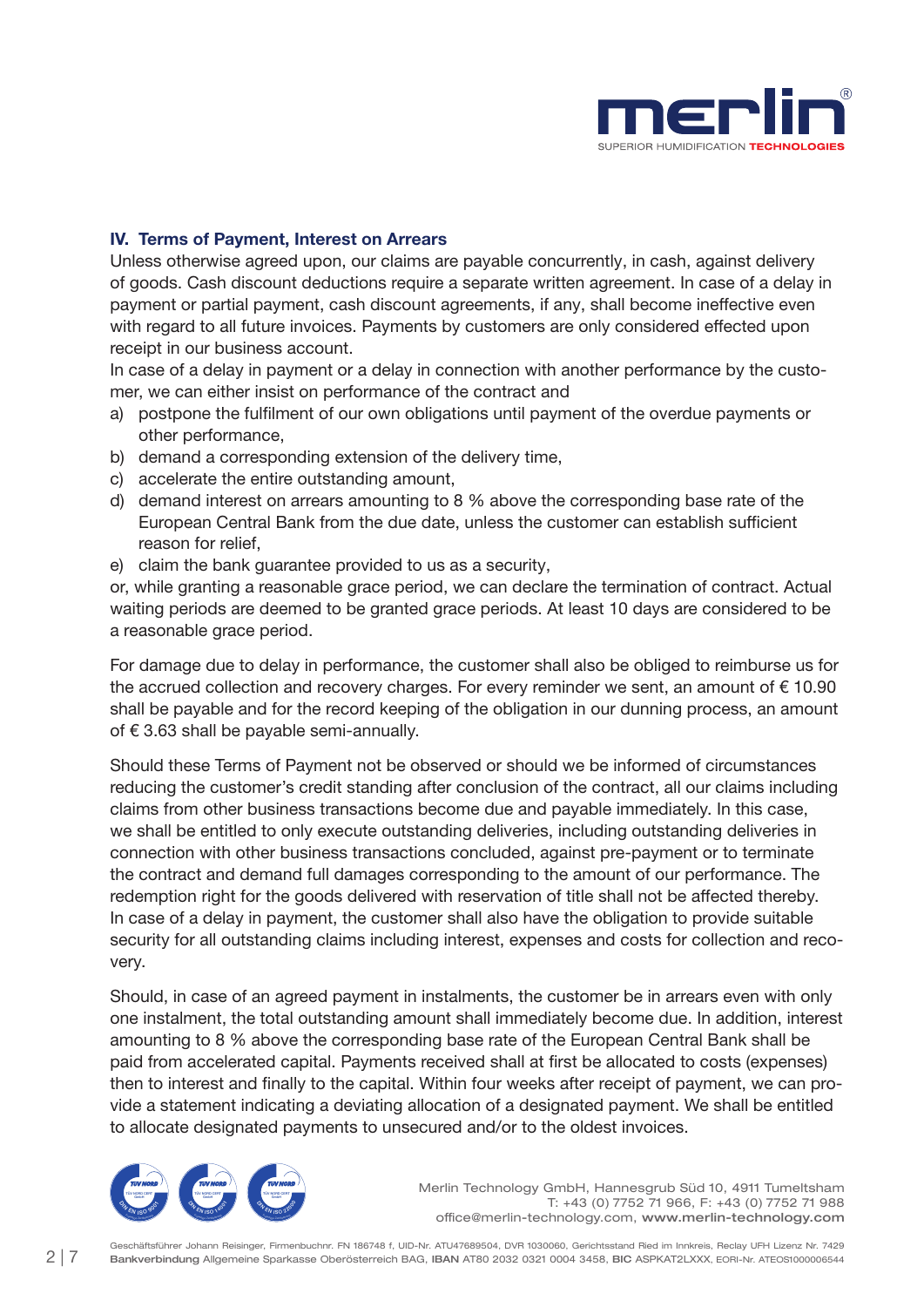

# IV. Terms of Payment, Interest on Arrears

Unless otherwise agreed upon, our claims are payable concurrently, in cash, against delivery of goods. Cash discount deductions require a separate written agreement. In case of a delay in payment or partial payment, cash discount agreements, if any, shall become ineffective even with regard to all future invoices. Payments by customers are only considered effected upon receipt in our business account.

In case of a delay in payment or a delay in connection with another performance by the customer, we can either insist on performance of the contract and

- a) postpone the fulfilment of our own obligations until payment of the overdue payments or other performance,
- b) demand a corresponding extension of the delivery time,
- c) accelerate the entire outstanding amount,
- d) demand interest on arrears amounting to 8 % above the corresponding base rate of the European Central Bank from the due date, unless the customer can establish sufficient reason for relief,
- e) claim the bank guarantee provided to us as a security,

or, while granting a reasonable grace period, we can declare the termination of contract. Actual waiting periods are deemed to be granted grace periods. At least 10 days are considered to be a reasonable grace period.

For damage due to delay in performance, the customer shall also be obliged to reimburse us for the accrued collection and recovery charges. For every reminder we sent, an amount of  $\epsilon$  10.90 shall be payable and for the record keeping of the obligation in our dunning process, an amount of € 3.63 shall be payable semi-annually.

Should these Terms of Payment not be observed or should we be informed of circumstances reducing the customer's credit standing after conclusion of the contract, all our claims including claims from other business transactions become due and payable immediately. In this case, we shall be entitled to only execute outstanding deliveries, including outstanding deliveries in connection with other business transactions concluded, against pre-payment or to terminate the contract and demand full damages corresponding to the amount of our performance. The redemption right for the goods delivered with reservation of title shall not be affected thereby. In case of a delay in payment, the customer shall also have the obligation to provide suitable security for all outstanding claims including interest, expenses and costs for collection and recovery.

Should, in case of an agreed payment in instalments, the customer be in arrears even with only one instalment, the total outstanding amount shall immediately become due. In addition, interest amounting to 8 % above the corresponding base rate of the European Central Bank shall be paid from accelerated capital. Payments received shall at first be allocated to costs (expenses) then to interest and finally to the capital. Within four weeks after receipt of payment, we can provide a statement indicating a deviating allocation of a designated payment. We shall be entitled to allocate designated payments to unsecured and/or to the oldest invoices.

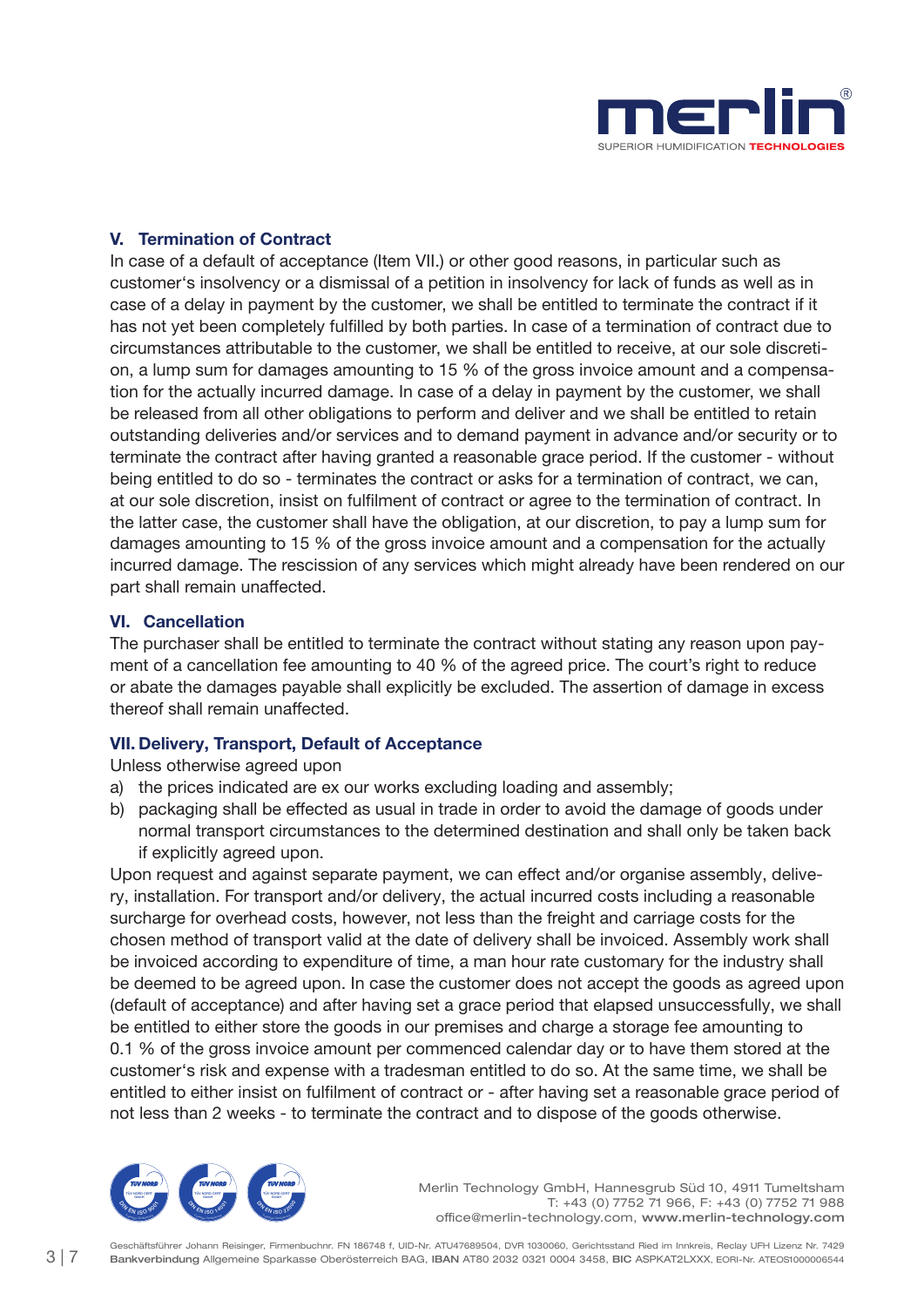

## V. Termination of Contract

In case of a default of acceptance (Item VII.) or other good reasons, in particular such as customer's insolvency or a dismissal of a petition in insolvency for lack of funds as well as in case of a delay in payment by the customer, we shall be entitled to terminate the contract if it has not yet been completely fulfilled by both parties. In case of a termination of contract due to circumstances attributable to the customer, we shall be entitled to receive, at our sole discretion, a lump sum for damages amounting to 15 % of the gross invoice amount and a compensation for the actually incurred damage. In case of a delay in payment by the customer, we shall be released from all other obligations to perform and deliver and we shall be entitled to retain outstanding deliveries and/or services and to demand payment in advance and/or security or to terminate the contract after having granted a reasonable grace period. If the customer - without being entitled to do so - terminates the contract or asks for a termination of contract, we can, at our sole discretion, insist on fulfilment of contract or agree to the termination of contract. In the latter case, the customer shall have the obligation, at our discretion, to pay a lump sum for damages amounting to 15 % of the gross invoice amount and a compensation for the actually incurred damage. The rescission of any services which might already have been rendered on our part shall remain unaffected.

## VI. Cancellation

The purchaser shall be entitled to terminate the contract without stating any reason upon payment of a cancellation fee amounting to 40 % of the agreed price. The court's right to reduce or abate the damages payable shall explicitly be excluded. The assertion of damage in excess thereof shall remain unaffected.

## VII. Delivery, Transport, Default of Acceptance

Unless otherwise agreed upon

- a) the prices indicated are ex our works excluding loading and assembly;
- b) packaging shall be effected as usual in trade in order to avoid the damage of goods under normal transport circumstances to the determined destination and shall only be taken back if explicitly agreed upon.

Upon request and against separate payment, we can effect and/or organise assembly, delivery, installation. For transport and/or delivery, the actual incurred costs including a reasonable surcharge for overhead costs, however, not less than the freight and carriage costs for the chosen method of transport valid at the date of delivery shall be invoiced. Assembly work shall be invoiced according to expenditure of time, a man hour rate customary for the industry shall be deemed to be agreed upon. In case the customer does not accept the goods as agreed upon (default of acceptance) and after having set a grace period that elapsed unsuccessfully, we shall be entitled to either store the goods in our premises and charge a storage fee amounting to 0.1 % of the gross invoice amount per commenced calendar day or to have them stored at the customer's risk and expense with a tradesman entitled to do so. At the same time, we shall be entitled to either insist on fulfilment of contract or - after having set a reasonable grace period of not less than 2 weeks - to terminate the contract and to dispose of the goods otherwise.

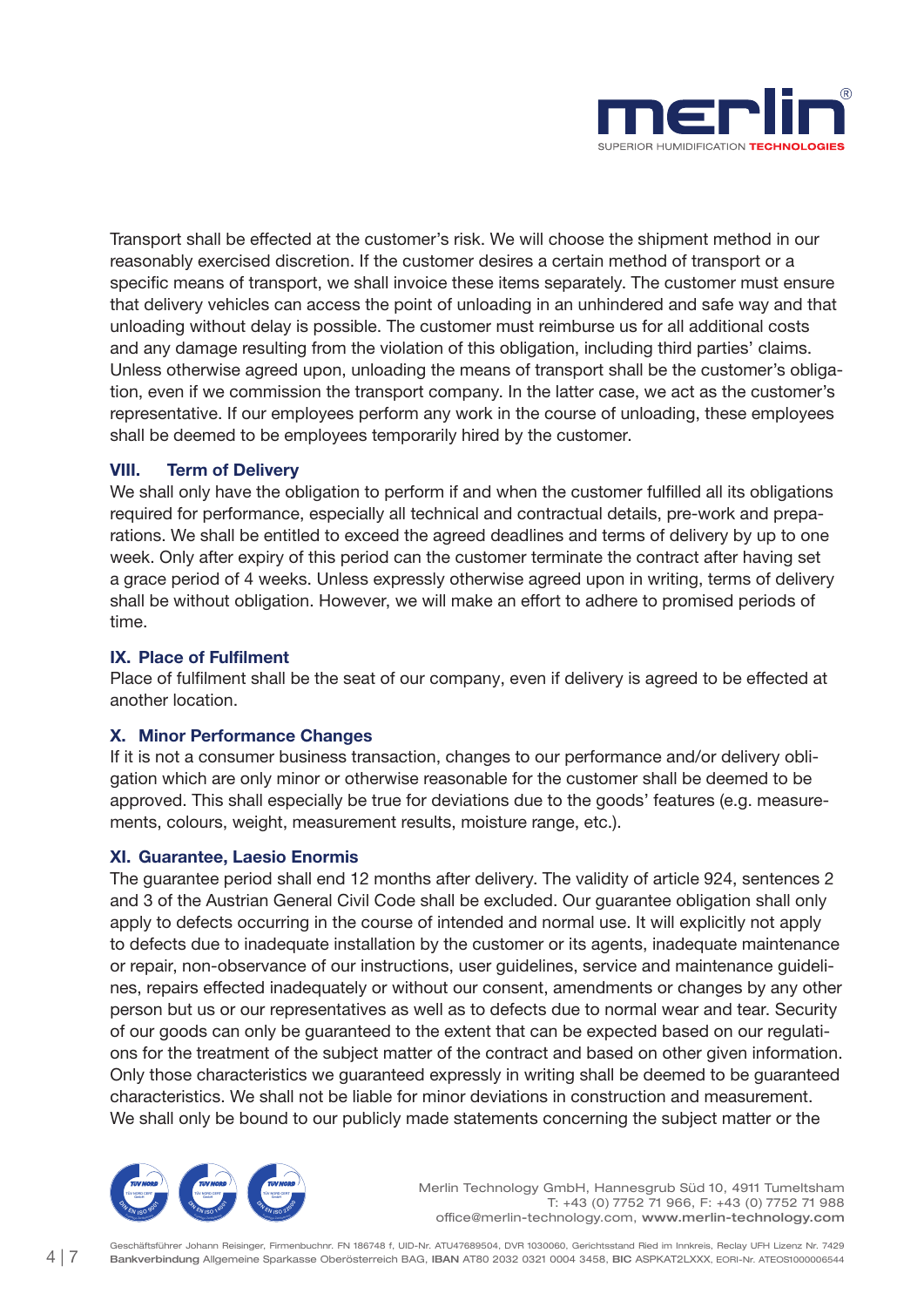

Transport shall be effected at the customer's risk. We will choose the shipment method in our reasonably exercised discretion. If the customer desires a certain method of transport or a specific means of transport, we shall invoice these items separately. The customer must ensure that delivery vehicles can access the point of unloading in an unhindered and safe way and that unloading without delay is possible. The customer must reimburse us for all additional costs and any damage resulting from the violation of this obligation, including third parties' claims. Unless otherwise agreed upon, unloading the means of transport shall be the customer's obligation, even if we commission the transport company. In the latter case, we act as the customer's representative. If our employees perform any work in the course of unloading, these employees shall be deemed to be employees temporarily hired by the customer.

## VIII. Term of Delivery

We shall only have the obligation to perform if and when the customer fulfilled all its obligations required for performance, especially all technical and contractual details, pre-work and preparations. We shall be entitled to exceed the agreed deadlines and terms of delivery by up to one week. Only after expiry of this period can the customer terminate the contract after having set a grace period of 4 weeks. Unless expressly otherwise agreed upon in writing, terms of delivery shall be without obligation. However, we will make an effort to adhere to promised periods of time.

## IX. Place of Fulfilment

Place of fulfilment shall be the seat of our company, even if delivery is agreed to be effected at another location.

## X. Minor Performance Changes

If it is not a consumer business transaction, changes to our performance and/or delivery obligation which are only minor or otherwise reasonable for the customer shall be deemed to be approved. This shall especially be true for deviations due to the goods' features (e.g. measurements, colours, weight, measurement results, moisture range, etc.).

#### XI. Guarantee, Laesio Enormis

The guarantee period shall end 12 months after delivery. The validity of article 924, sentences 2 and 3 of the Austrian General Civil Code shall be excluded. Our guarantee obligation shall only apply to defects occurring in the course of intended and normal use. It will explicitly not apply to defects due to inadequate installation by the customer or its agents, inadequate maintenance or repair, non-observance of our instructions, user guidelines, service and maintenance guidelines, repairs effected inadequately or without our consent, amendments or changes by any other person but us or our representatives as well as to defects due to normal wear and tear. Security of our goods can only be guaranteed to the extent that can be expected based on our regulations for the treatment of the subject matter of the contract and based on other given information. Only those characteristics we guaranteed expressly in writing shall be deemed to be guaranteed characteristics. We shall not be liable for minor deviations in construction and measurement. We shall only be bound to our publicly made statements concerning the subject matter or the

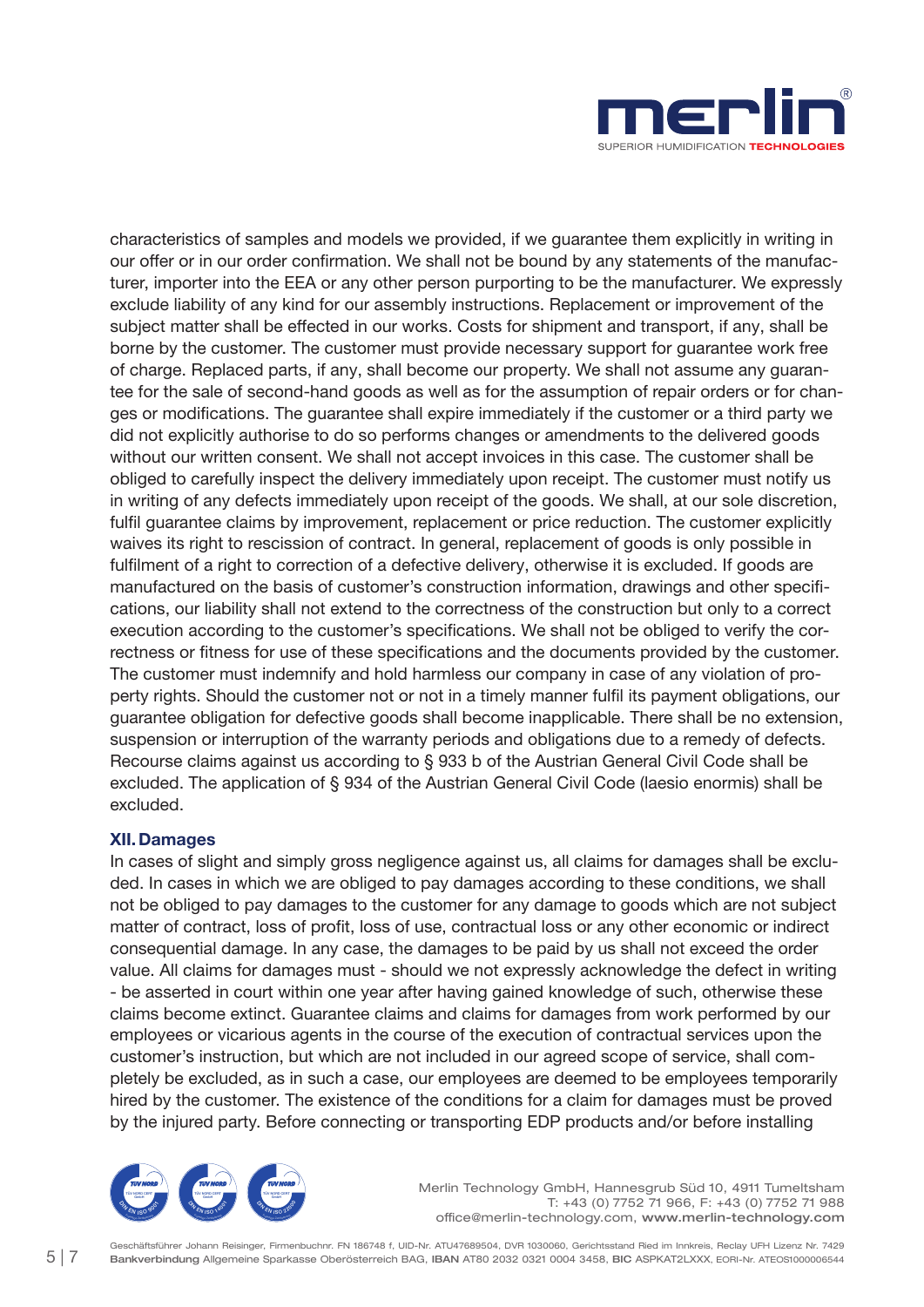

characteristics of samples and models we provided, if we guarantee them explicitly in writing in our offer or in our order confirmation. We shall not be bound by any statements of the manufacturer, importer into the EEA or any other person purporting to be the manufacturer. We expressly exclude liability of any kind for our assembly instructions. Replacement or improvement of the subject matter shall be effected in our works. Costs for shipment and transport, if any, shall be borne by the customer. The customer must provide necessary support for guarantee work free of charge. Replaced parts, if any, shall become our property. We shall not assume any guarantee for the sale of second-hand goods as well as for the assumption of repair orders or for changes or modifications. The guarantee shall expire immediately if the customer or a third party we did not explicitly authorise to do so performs changes or amendments to the delivered goods without our written consent. We shall not accept invoices in this case. The customer shall be obliged to carefully inspect the delivery immediately upon receipt. The customer must notify us in writing of any defects immediately upon receipt of the goods. We shall, at our sole discretion, fulfil guarantee claims by improvement, replacement or price reduction. The customer explicitly waives its right to rescission of contract. In general, replacement of goods is only possible in fulfilment of a right to correction of a defective delivery, otherwise it is excluded. If goods are manufactured on the basis of customer's construction information, drawings and other specifications, our liability shall not extend to the correctness of the construction but only to a correct execution according to the customer's specifications. We shall not be obliged to verify the correctness or fitness for use of these specifications and the documents provided by the customer. The customer must indemnify and hold harmless our company in case of any violation of property rights. Should the customer not or not in a timely manner fulfil its payment obligations, our guarantee obligation for defective goods shall become inapplicable. There shall be no extension, suspension or interruption of the warranty periods and obligations due to a remedy of defects. Recourse claims against us according to § 933 b of the Austrian General Civil Code shall be excluded. The application of § 934 of the Austrian General Civil Code (laesio enormis) shall be excluded.

## XII.Damages

In cases of slight and simply gross negligence against us, all claims for damages shall be excluded. In cases in which we are obliged to pay damages according to these conditions, we shall not be obliged to pay damages to the customer for any damage to goods which are not subject matter of contract, loss of profit, loss of use, contractual loss or any other economic or indirect consequential damage. In any case, the damages to be paid by us shall not exceed the order value. All claims for damages must - should we not expressly acknowledge the defect in writing - be asserted in court within one year after having gained knowledge of such, otherwise these claims become extinct. Guarantee claims and claims for damages from work performed by our employees or vicarious agents in the course of the execution of contractual services upon the customer's instruction, but which are not included in our agreed scope of service, shall completely be excluded, as in such a case, our employees are deemed to be employees temporarily hired by the customer. The existence of the conditions for a claim for damages must be proved by the injured party. Before connecting or transporting EDP products and/or before installing



Merlin Technology GmbH, Hannesgrub Süd 10, 4911 Tumeltsham T: +43 (0) 7752 71 966, F: +43 (0) 7752 71 988 office@merlin-technology.com, www.merlin-technology.com

Geschäftsführer Johann Reisinger, Firmenbuchnr. FN 186748 f, UID-Nr. ATU47689504, DVR 1030060, Gerichtsstand Ried im Innkreis, Reclay UFH Lizenz Nr. 7429 Bankverbindung Allgemeine Sparkasse Oberösterreich BAG, IBAN AT80 2032 0321 0004 3458, BIC ASPKAT2LXXX, EORI-Nr. ATEOS1000006544 5 | 7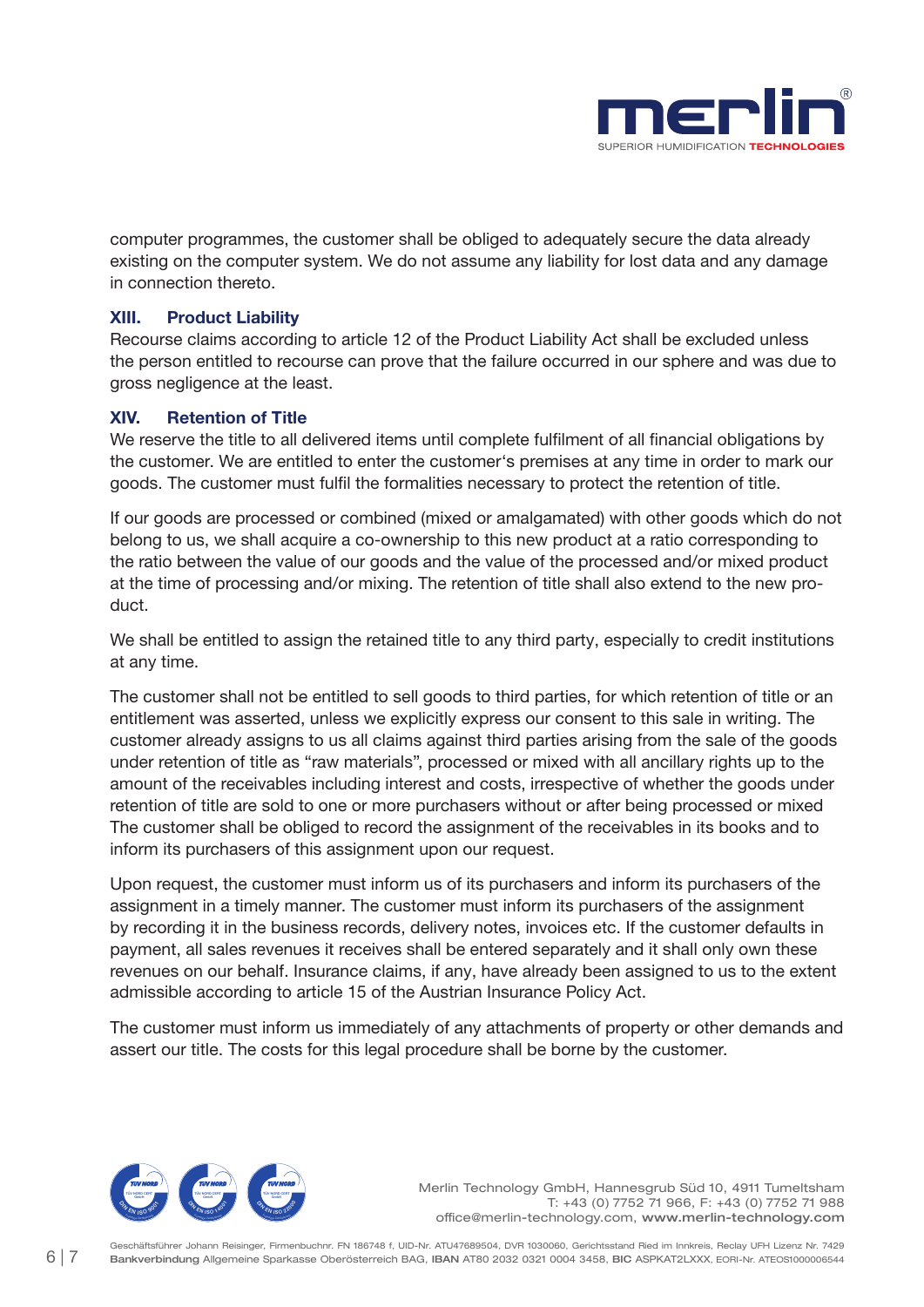

computer programmes, the customer shall be obliged to adequately secure the data already existing on the computer system. We do not assume any liability for lost data and any damage in connection thereto.

#### XIII. Product Liability

Recourse claims according to article 12 of the Product Liability Act shall be excluded unless the person entitled to recourse can prove that the failure occurred in our sphere and was due to gross negligence at the least.

#### XIV. Retention of Title

We reserve the title to all delivered items until complete fulfilment of all financial obligations by the customer. We are entitled to enter the customer's premises at any time in order to mark our goods. The customer must fulfil the formalities necessary to protect the retention of title.

If our goods are processed or combined (mixed or amalgamated) with other goods which do not belong to us, we shall acquire a co-ownership to this new product at a ratio corresponding to the ratio between the value of our goods and the value of the processed and/or mixed product at the time of processing and/or mixing. The retention of title shall also extend to the new product.

We shall be entitled to assign the retained title to any third party, especially to credit institutions at any time.

The customer shall not be entitled to sell goods to third parties, for which retention of title or an entitlement was asserted, unless we explicitly express our consent to this sale in writing. The customer already assigns to us all claims against third parties arising from the sale of the goods under retention of title as "raw materials", processed or mixed with all ancillary rights up to the amount of the receivables including interest and costs, irrespective of whether the goods under retention of title are sold to one or more purchasers without or after being processed or mixed The customer shall be obliged to record the assignment of the receivables in its books and to inform its purchasers of this assignment upon our request.

Upon request, the customer must inform us of its purchasers and inform its purchasers of the assignment in a timely manner. The customer must inform its purchasers of the assignment by recording it in the business records, delivery notes, invoices etc. If the customer defaults in payment, all sales revenues it receives shall be entered separately and it shall only own these revenues on our behalf. Insurance claims, if any, have already been assigned to us to the extent admissible according to article 15 of the Austrian Insurance Policy Act.

The customer must inform us immediately of any attachments of property or other demands and assert our title. The costs for this legal procedure shall be borne by the customer.